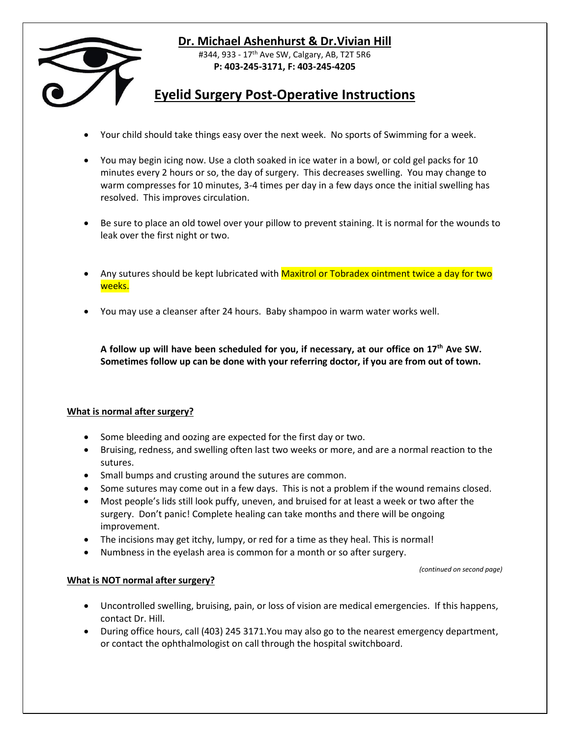

## **Dr. Michael Ashenhurst & Dr.Vivian Hill**

#344, 933 - 17<sup>th</sup> Ave SW, Calgary, AB, T2T 5R6 **P: 403-245-3171, F: 403-245-4205**

## **Eyelid Surgery Post-Operative Instructions**

- Your child should take things easy over the next week. No sports of Swimming for a week.
- You may begin icing now. Use a cloth soaked in ice water in a bowl, or cold gel packs for 10 minutes every 2 hours or so, the day of surgery. This decreases swelling. You may change to warm compresses for 10 minutes, 3-4 times per day in a few days once the initial swelling has resolved. This improves circulation.
- Be sure to place an old towel over your pillow to prevent staining. It is normal for the wounds to leak over the first night or two.
- Any sutures should be kept lubricated with Maxitrol or Tobradex ointment twice a day for two weeks.
- You may use a cleanser after 24 hours. Baby shampoo in warm water works well.

**A follow up will have been scheduled for you, if necessary, at our office on 17th Ave SW. Sometimes follow up can be done with your referring doctor, if you are from out of town.** 

## **What is normal after surgery?**

- Some bleeding and oozing are expected for the first day or two.
- Bruising, redness, and swelling often last two weeks or more, and are a normal reaction to the sutures.
- Small bumps and crusting around the sutures are common.
- Some sutures may come out in a few days. This is not a problem if the wound remains closed.
- Most people's lids still look puffy, uneven, and bruised for at least a week or two after the surgery. Don't panic! Complete healing can take months and there will be ongoing improvement.
- The incisions may get itchy, lumpy, or red for a time as they heal. This is normal!
- Numbness in the eyelash area is common for a month or so after surgery.

*(continued on second page)*

## **What is NOT normal after surgery?**

- Uncontrolled swelling, bruising, pain, or loss of vision are medical emergencies. If this happens, contact Dr. Hill.
- During office hours, call (403) 245 3171.You may also go to the nearest emergency department, or contact the ophthalmologist on call through the hospital switchboard.